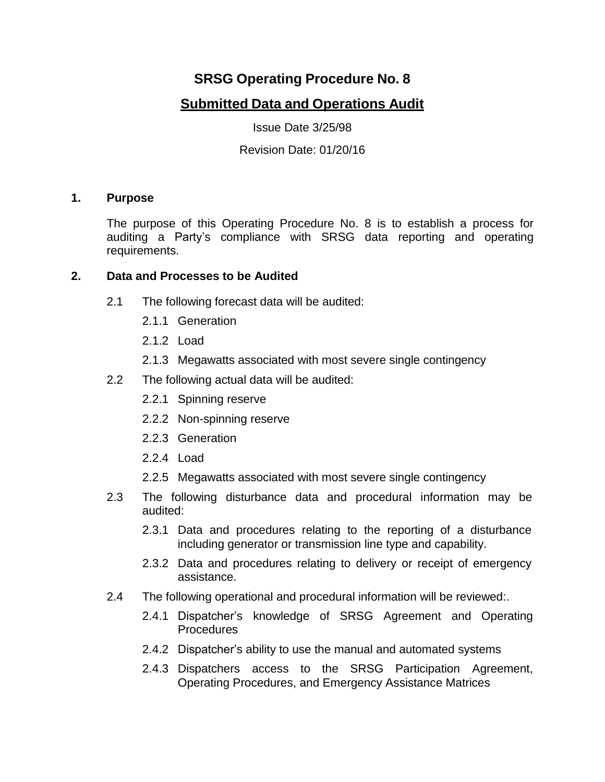# **SRSG Operating Procedure No. 8**

## **Submitted Data and Operations Audit**

Issue Date 3/25/98

Revision Date: 01/20/16

## **1. Purpose**

The purpose of this Operating Procedure No. 8 is to establish a process for auditing a Party's compliance with SRSG data reporting and operating requirements.

## **2. Data and Processes to be Audited**

- 2.1 The following forecast data will be audited:
	- 2.1.1 Generation
	- 2.1.2 Load
	- 2.1.3 Megawatts associated with most severe single contingency
- 2.2 The following actual data will be audited:
	- 2.2.1 Spinning reserve
	- 2.2.2 Non-spinning reserve
	- 2.2.3 Generation
	- 2.2.4 Load
	- 2.2.5 Megawatts associated with most severe single contingency
- 2.3 The following disturbance data and procedural information may be audited:
	- 2.3.1 Data and procedures relating to the reporting of a disturbance including generator or transmission line type and capability.
	- 2.3.2 Data and procedures relating to delivery or receipt of emergency assistance.
- 2.4 The following operational and procedural information will be reviewed:.
	- 2.4.1 Dispatcher's knowledge of SRSG Agreement and Operating **Procedures**
	- 2.4.2 Dispatcher's ability to use the manual and automated systems
	- 2.4.3 Dispatchers access to the SRSG Participation Agreement, Operating Procedures, and Emergency Assistance Matrices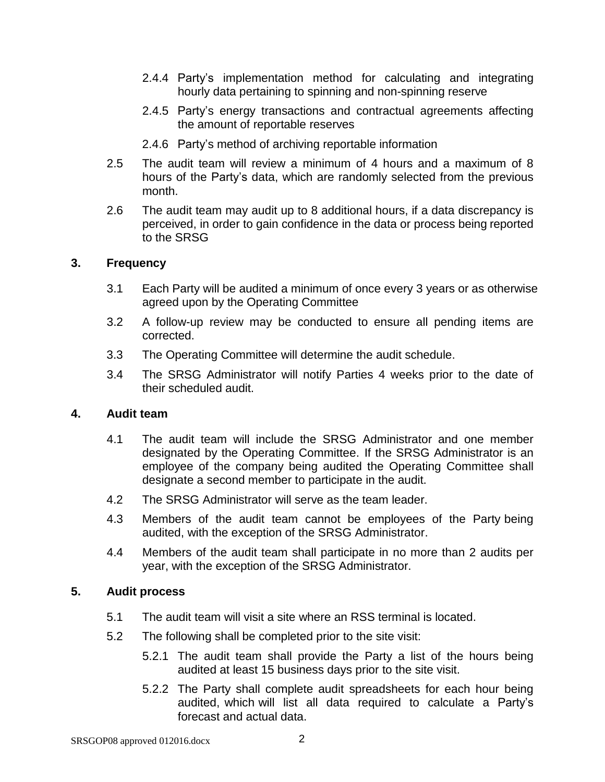- 2.4.4 Party's implementation method for calculating and integrating hourly data pertaining to spinning and non-spinning reserve
- 2.4.5 Party's energy transactions and contractual agreements affecting the amount of reportable reserves
- 2.4.6 Party's method of archiving reportable information
- 2.5 The audit team will review a minimum of 4 hours and a maximum of 8 hours of the Party's data, which are randomly selected from the previous month.
- 2.6 The audit team may audit up to 8 additional hours, if a data discrepancy is perceived, in order to gain confidence in the data or process being reported to the SRSG

#### **3. Frequency**

- 3.1 Each Party will be audited a minimum of once every 3 years or as otherwise agreed upon by the Operating Committee
- 3.2 A follow-up review may be conducted to ensure all pending items are corrected.
- 3.3 The Operating Committee will determine the audit schedule.
- 3.4 The SRSG Administrator will notify Parties 4 weeks prior to the date of their scheduled audit.

#### **4. Audit team**

- 4.1 The audit team will include the SRSG Administrator and one member designated by the Operating Committee. If the SRSG Administrator is an employee of the company being audited the Operating Committee shall designate a second member to participate in the audit.
- 4.2 The SRSG Administrator will serve as the team leader.
- 4.3 Members of the audit team cannot be employees of the Party being audited, with the exception of the SRSG Administrator.
- 4.4 Members of the audit team shall participate in no more than 2 audits per year, with the exception of the SRSG Administrator.

#### **5. Audit process**

- 5.1 The audit team will visit a site where an RSS terminal is located.
- 5.2 The following shall be completed prior to the site visit:
	- 5.2.1 The audit team shall provide the Party a list of the hours being audited at least 15 business days prior to the site visit.
	- 5.2.2 The Party shall complete audit spreadsheets for each hour being audited, which will list all data required to calculate a Party's forecast and actual data.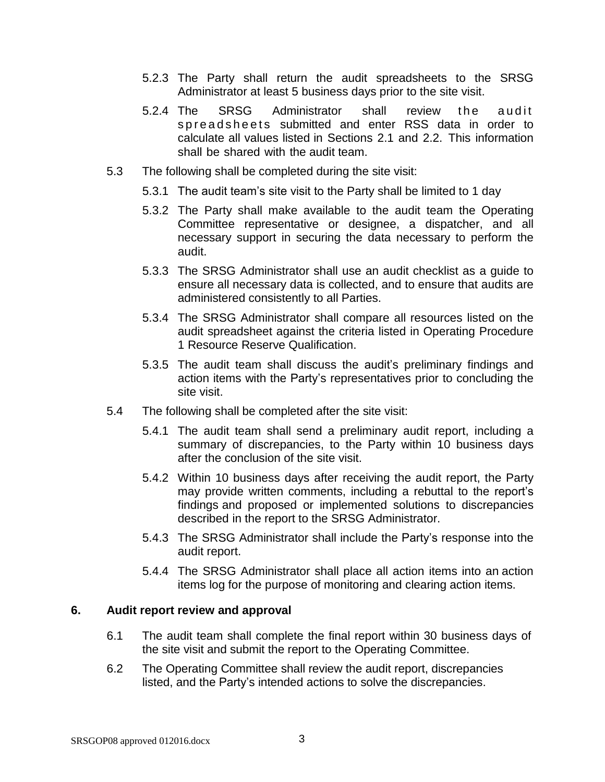- 5.2.3 The Party shall return the audit spreadsheets to the SRSG Administrator at least 5 business days prior to the site visit.
- 5.2.4 The SRSG Administrator shall review the audit spread sheets submitted and enter RSS data in order to calculate all values listed in Sections 2.1 and 2.2. This information shall be shared with the audit team.
- 5.3 The following shall be completed during the site visit:
	- 5.3.1 The audit team's site visit to the Party shall be limited to 1 day
	- 5.3.2 The Party shall make available to the audit team the Operating Committee representative or designee, a dispatcher, and all necessary support in securing the data necessary to perform the audit.
	- 5.3.3 The SRSG Administrator shall use an audit checklist as a guide to ensure all necessary data is collected, and to ensure that audits are administered consistently to all Parties.
	- 5.3.4 The SRSG Administrator shall compare all resources listed on the audit spreadsheet against the criteria listed in Operating Procedure 1 Resource Reserve Qualification.
	- 5.3.5 The audit team shall discuss the audit's preliminary findings and action items with the Party's representatives prior to concluding the site visit.
- 5.4 The following shall be completed after the site visit:
	- 5.4.1 The audit team shall send a preliminary audit report, including a summary of discrepancies, to the Party within 10 business days after the conclusion of the site visit.
	- 5.4.2 Within 10 business days after receiving the audit report, the Party may provide written comments, including a rebuttal to the report's findings and proposed or implemented solutions to discrepancies described in the report to the SRSG Administrator.
	- 5.4.3 The SRSG Administrator shall include the Party's response into the audit report.
	- 5.4.4 The SRSG Administrator shall place all action items into an action items log for the purpose of monitoring and clearing action items.

### **6. Audit report review and approval**

- 6.1 The audit team shall complete the final report within 30 business days of the site visit and submit the report to the Operating Committee.
- 6.2 The Operating Committee shall review the audit report, discrepancies listed, and the Party's intended actions to solve the discrepancies.